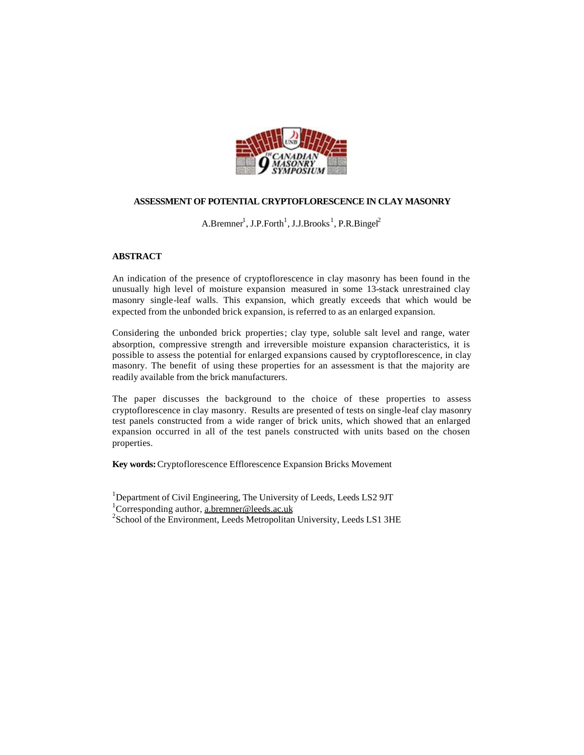

# **ASSESSMENT OF POTENTIAL CRYPTOFLORESCENCE IN CLAY MASONRY**

 $A.Bremner<sup>1</sup>, J.P.Forth<sup>1</sup>, J.J.Brooks<sup>1</sup>, P.R.Binge<sup>2</sup>$ 

# **ABSTRACT**

An indication of the presence of cryptoflorescence in clay masonry has been found in the unusually high level of moisture expansion measured in some 13-stack unrestrained clay masonry single-leaf walls. This expansion, which greatly exceeds that which would be expected from the unbonded brick expansion, is referred to as an enlarged expansion.

Considering the unbonded brick properties; clay type, soluble salt level and range, water absorption, compressive strength and irreversible moisture expansion characteristics, it is possible to assess the potential for enlarged expansions caused by cryptoflorescence, in clay masonry. The benefit of using these properties for an assessment is that the majority are readily available from the brick manufacturers.

The paper discusses the background to the choice of these properties to assess cryptoflorescence in clay masonry. Results are presented of tests on single-leaf clay masonry test panels constructed from a wide ranger of brick units, which showed that an enlarged expansion occurred in all of the test panels constructed with units based on the chosen properties.

**Key words:** Cryptoflorescence Efflorescence Expansion Bricks Movement

<sup>1</sup>Department of Civil Engineering, The University of Leeds, Leeds LS2 9JT

<sup>1</sup>Corresponding author, a.bremner@leeds.ac.uk

<sup>2</sup> School of the Environment, Leeds Metropolitan University, Leeds LS1 3HE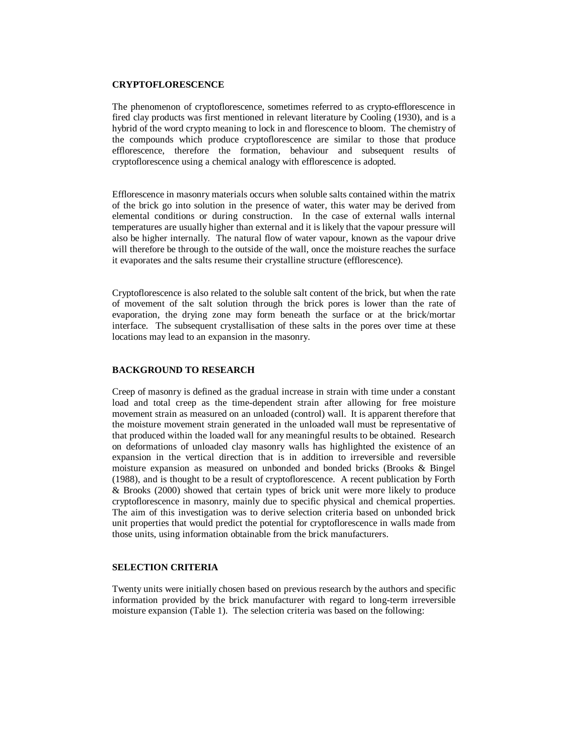## **CRYPTOFLORESCENCE**

The phenomenon of cryptoflorescence, sometimes referred to as crypto-efflorescence in fired clay products was first mentioned in relevant literature by Cooling (1930), and is a hybrid of the word crypto meaning to lock in and florescence to bloom. The chemistry of the compounds which produce cryptoflorescence are similar to those that produce efflorescence, therefore the formation, behaviour and subsequent results of cryptoflorescence using a chemical analogy with efflorescence is adopted.

Efflorescence in masonry materials occurs when soluble salts contained within the matrix of the brick go into solution in the presence of water, this water may be derived from elemental conditions or during construction. In the case of external walls internal temperatures are usually higher than external and it is likely that the vapour pressure will also be higher internally. The natural flow of water vapour, known as the vapour drive will therefore be through to the outside of the wall, once the moisture reaches the surface it evaporates and the salts resume their crystalline structure (efflorescence).

Cryptoflorescence is also related to the soluble salt content of the brick, but when the rate of movement of the salt solution through the brick pores is lower than the rate of evaporation, the drying zone may form beneath the surface or at the brick/mortar interface. The subsequent crystallisation of these salts in the pores over time at these locations may lead to an expansion in the masonry.

### **BACKGROUND TO RESEARCH**

Creep of masonry is defined as the gradual increase in strain with time under a constant load and total creep as the time-dependent strain after allowing for free moisture movement strain as measured on an unloaded (control) wall. It is apparent therefore that the moisture movement strain generated in the unloaded wall must be representative of that produced within the loaded wall for any meaningful results to be obtained. Research on deformations of unloaded clay masonry walls has highlighted the existence of an expansion in the vertical direction that is in addition to irreversible and reversible moisture expansion as measured on unbonded and bonded bricks (Brooks & Bingel (1988), and is thought to be a result of cryptoflorescence. A recent publication by Forth & Brooks (2000) showed that certain types of brick unit were more likely to produce cryptoflorescence in masonry, mainly due to specific physical and chemical properties. The aim of this investigation was to derive selection criteria based on unbonded brick unit properties that would predict the potential for cryptoflorescence in walls made from those units, using information obtainable from the brick manufacturers.

# **SELECTION CRITERIA**

Twenty units were initially chosen based on previous research by the authors and specific information provided by the brick manufacturer with regard to long-term irreversible moisture expansion (Table 1). The selection criteria was based on the following: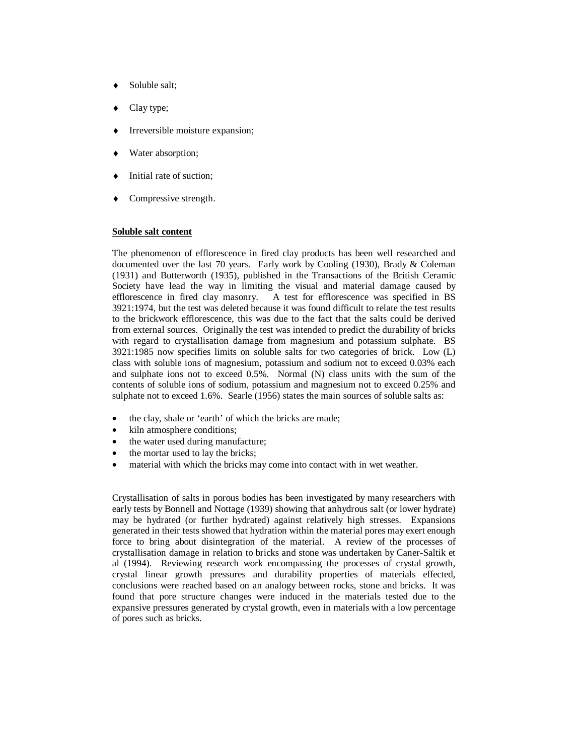- Soluble salt:
- Clay type;
- Irreversible moisture expansion;
- Water absorption;
- Initial rate of suction;
- Compressive strength.

### **Soluble salt content**

The phenomenon of efflorescence in fired clay products has been well researched and documented over the last 70 years. Early work by Cooling (1930), Brady & Coleman (1931) and Butterworth (1935), published in the Transactions of the British Ceramic Society have lead the way in limiting the visual and material damage caused by efflorescence in fired clay masonry. A test for efflorescence was specified in BS  $A$  test for efflorescence was specified in BS 3921:1974, but the test was deleted because it was found difficult to relate the test results to the brickwork efflorescence, this was due to the fact that the salts could be derived from external sources. Originally the test was intended to predict the durability of bricks with regard to crystallisation damage from magnesium and potassium sulphate. BS 3921:1985 now specifies limits on soluble salts for two categories of brick. Low (L) class with soluble ions of magnesium, potassium and sodium not to exceed 0.03% each and sulphate ions not to exceed 0.5%. Normal (N) class units with the sum of the contents of soluble ions of sodium, potassium and magnesium not to exceed 0.25% and sulphate not to exceed 1.6%. Searle (1956) states the main sources of soluble salts as:

- the clay, shale or 'earth' of which the bricks are made;
- kiln atmosphere conditions;
- the water used during manufacture;
- the mortar used to lay the bricks;
- material with which the bricks may come into contact with in wet weather.

Crystallisation of salts in porous bodies has been investigated by many researchers with early tests by Bonnell and Nottage (1939) showing that anhydrous salt (or lower hydrate) may be hydrated (or further hydrated) against relatively high stresses. Expansions generated in their tests showed that hydration within the material pores may exert enough force to bring about disintegration of the material. A review of the processes of crystallisation damage in relation to bricks and stone was undertaken by Caner-Saltik et al (1994). Reviewing research work encompassing the processes of crystal growth, crystal linear growth pressures and durability properties of materials effected, conclusions were reached based on an analogy between rocks, stone and bricks. It was found that pore structure changes were induced in the materials tested due to the expansive pressures generated by crystal growth, even in materials with a low percentage of pores such as bricks.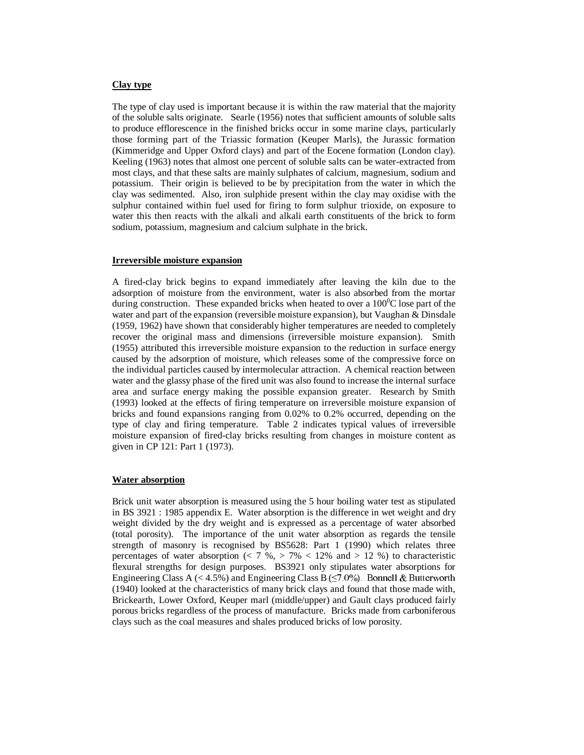#### **Clay type**

The type of clay used is important because it is within the raw material that the majority of the soluble salts originate. Searle (1956) notes that sufficient amounts of soluble salts to produce efflorescence in the finished bricks occur in some marine clays, particularly those forming part of the Triassic formation (Keuper Marls), the Jurassic formation (Kimmeridge and Upper Oxford clays) and part of the Eocene formation (London clay). Keeling (1963) notes that almost one percent of soluble salts can be water-extracted from most clays, and that these salts are mainly sulphates of calcium, magnesium, sodium and potassium. Their origin is believed to be by precipitation from the water in which the clay was sedimented. Also, iron sulphide present within the clay may oxidise with the sulphur contained within fuel used for firing to form sulphur trioxide, on exposure to water this then reacts with the alkali and alkali earth constituents of the brick to form sodium, potassium, magnesium and calcium sulphate in the brick.

#### **Irreversible moisture expansion**

A fired-clay brick begins to expand immediately after leaving the kiln due to the adsorption of moisture from the environment, water is also absorbed from the mortar during construction. These expanded bricks when heated to over a  $100^{\circ}$ C lose part of the water and part of the expansion (reversible moisture expansion), but Vaughan & Dinsdale (1959, 1962) have shown that considerably higher temperatures are needed to completely recover the original mass and dimensions (irreversible moisture expansion). Smith (1955) attributed this irreversible moisture expansion to the reduction in surface energy caused by the adsorption of moisture, which releases some of the compressive force on the individual particles caused by intermolecular attraction. A chemical reaction between water and the glassy phase of the fired unit was also found to increase the internal surface area and surface energy making the possible expansion greater. Research by Smith (1993) looked at the effects of firing temperature on irreversible moisture expansion of bricks and found expansions ranging from 0.02% to 0.2% occurred, depending on the type of clay and firing temperature. Table 2 indicates typical values of irreversible moisture expansion of fired-clay bricks resulting from changes in moisture content as given in CP 121: Part 1 (1973).

#### **Water absorption**

Brick unit water absorption is measured using the 5 hour boiling water test as stipulated in BS 3921 : 1985 appendix E. Water absorption is the difference in wet weight and dry weight divided by the dry weight and is expressed as a percentage of water absorbed (total porosity). The importance of the unit water absorption as regards the tensile strength of masonry is recognised by BS5628: Part 1 (1990) which relates three percentages of water absorption ( $\lt 7$  %,  $> 7\%$   $\lt 12\%$  and  $> 12$  %) to characteristic flexural strengths for design purposes. BS3921 only stipulates water absorptions for Engineering Class A (< 4.5%) and Engineering Class B ( $\leq$ 7.0%). Bonnell & Butterworth (1940) looked at the characteristics of many brick clays and found that those made with, Brickearth, Lower Oxford, Keuper marl (middle/upper) and Gault clays produced fairly porous bricks regardless of the process of manufacture. Bricks made from carboniferous clays such as the coal measures and shales produced bricks of low porosity.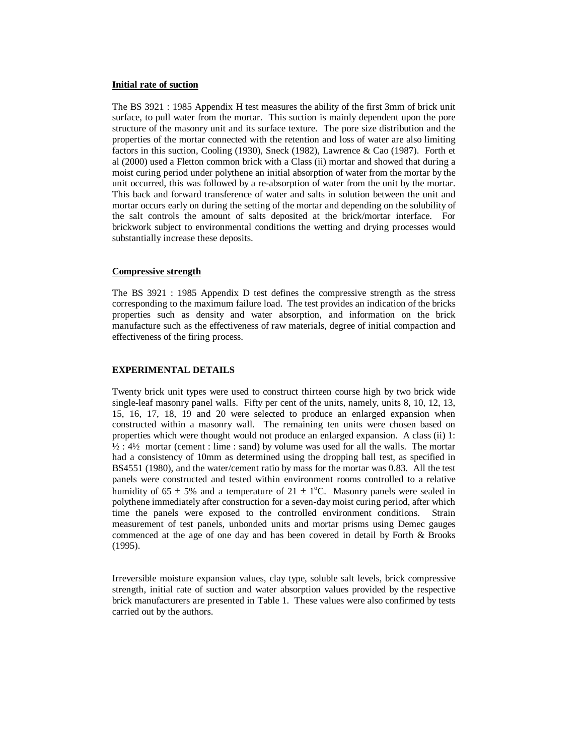#### **Initial rate of suction**

The BS 3921 : 1985 Appendix H test measures the ability of the first 3mm of brick unit surface, to pull water from the mortar. This suction is mainly dependent upon the pore structure of the masonry unit and its surface texture. The pore size distribution and the properties of the mortar connected with the retention and loss of water are also limiting factors in this suction, Cooling (1930), Sneck (1982), Lawrence & Cao (1987). Forth et al (2000) used a Fletton common brick with a Class (ii) mortar and showed that during a moist curing period under polythene an initial absorption of water from the mortar by the unit occurred, this was followed by a re-absorption of water from the unit by the mortar. This back and forward transference of water and salts in solution between the unit and mortar occurs early on during the setting of the mortar and depending on the solubility of the salt controls the amount of salts deposited at the brick/mortar interface. For brickwork subject to environmental conditions the wetting and drying processes would substantially increase these deposits.

### **Compressive strength**

The BS 3921 : 1985 Appendix D test defines the compressive strength as the stress corresponding to the maximum failure load. The test provides an indication of the bricks properties such as density and water absorption, and information on the brick manufacture such as the effectiveness of raw materials, degree of initial compaction and effectiveness of the firing process.

### **EXPERIMENTAL DETAILS**

Twenty brick unit types were used to construct thirteen course high by two brick wide single-leaf masonry panel walls. Fifty per cent of the units, namely, units 8, 10, 12, 13, 15, 16, 17, 18, 19 and 20 were selected to produce an enlarged expansion when constructed within a masonry wall. The remaining ten units were chosen based on properties which were thought would not produce an enlarged expansion. A class (ii) 1:  $\frac{1}{2}$  :  $\frac{4}{2}$  mortar (cement : lime : sand) by volume was used for all the walls. The mortar had a consistency of 10mm as determined using the dropping ball test, as specified in BS4551 (1980), and the water/cement ratio by mass for the mortar was 0.83. All the test panels were constructed and tested within environment rooms controlled to a relative humidity of  $65 \pm 5\%$  and a temperature of  $21 \pm 1\degree$ C. Masonry panels were sealed in polythene immediately after construction for a seven-day moist curing period, after which time the panels were exposed to the controlled environment conditions. Strain measurement of test panels, unbonded units and mortar prisms using Demec gauges commenced at the age of one day and has been covered in detail by Forth & Brooks (1995).

Irreversible moisture expansion values, clay type, soluble salt levels, brick compressive strength, initial rate of suction and water absorption values provided by the respective brick manufacturers are presented in Table 1. These values were also confirmed by tests carried out by the authors.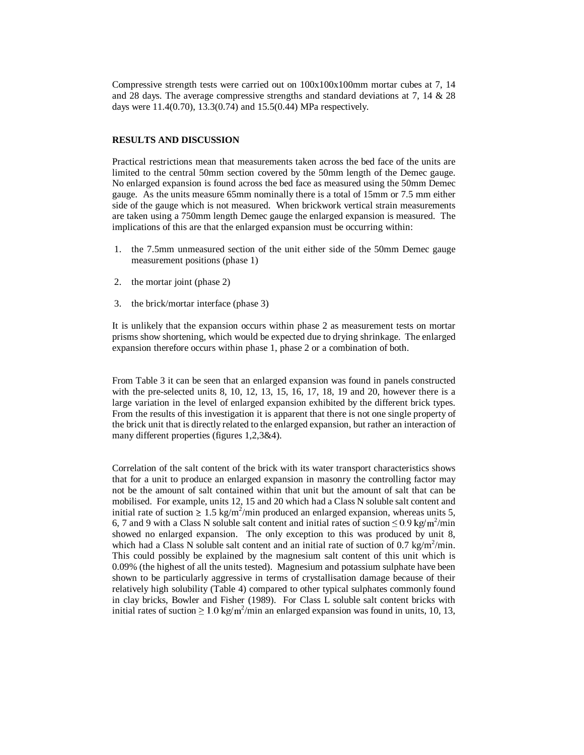Compressive strength tests were carried out on  $100x100x100mm$  mortar cubes at 7, 14 and 28 days. The average compressive strengths and standard deviations at 7, 14 & 28 days were 11.4(0.70), 13.3(0.74) and 15.5(0.44) MPa respectively.

# **RESULTS AND DISCUSSION**

Practical restrictions mean that measurements taken across the bed face of the units are limited to the central 50mm section covered by the 50mm length of the Demec gauge. No enlarged expansion is found across the bed face as measured using the 50mm Demec gauge. As the units measure 65mm nominally there is a total of 15mm or 7.5 mm either side of the gauge which is not measured. When brickwork vertical strain measurements are taken using a 750mm length Demec gauge the enlarged expansion is measured. The implications of this are that the enlarged expansion must be occurring within:

- 1. the 7.5mm unmeasured section of the unit either side of the 50mm Demec gauge measurement positions (phase 1)
- 2. the mortar joint (phase 2)
- 3. the brick/mortar interface (phase 3)

It is unlikely that the expansion occurs within phase 2 as measurement tests on mortar prisms show shortening, which would be expected due to drying shrinkage. The enlarged expansion therefore occurs within phase 1, phase 2 or a combination of both.

From Table 3 it can be seen that an enlarged expansion was found in panels constructed with the pre-selected units 8, 10, 12, 13, 15, 16, 17, 18, 19 and 20, however there is a large variation in the level of enlarged expansion exhibited by the different brick types. From the results of this investigation it is apparent that there is not one single property of the brick unit that is directly related to the enlarged expansion, but rather an interaction of many different properties (figures 1,2,3&4).

Correlation of the salt content of the brick with its water transport characteristics shows that for a unit to produce an enlarged expansion in masonry the controlling factor may not be the amount of salt contained within that unit but the amount of salt that can be mobilised. For example, units 12, 15 and 20 which had a Class N soluble salt content and initial rate of suction  $\geq 1.5$  kg/m<sup>2</sup>/min produced an enlarged expansion, whereas units 5, 6, 7 and 9 with a Class N soluble salt content and initial rates of suction  $\leq 0.9$  kg/m<sup>2</sup>/min showed no enlarged expansion. The only exception to this was produced by unit 8, which had a Class N soluble salt content and an initial rate of suction of 0.7 kg/m<sup>2</sup>/min. This could possibly be explained by the magnesium salt content of this unit which is 0.09% (the highest of all the units tested). Magnesium and potassium sulphate have been shown to be particularly aggressive in terms of crystallisation damage because of their relatively high solubility (Table 4) compared to other typical sulphates commonly found in clay bricks, Bowler and Fisher (1989). For Class L soluble salt content bricks with initial rates of suction  $\geq 1.0$  kg/m<sup>2</sup>/min an enlarged expansion was found in units, 10, 13,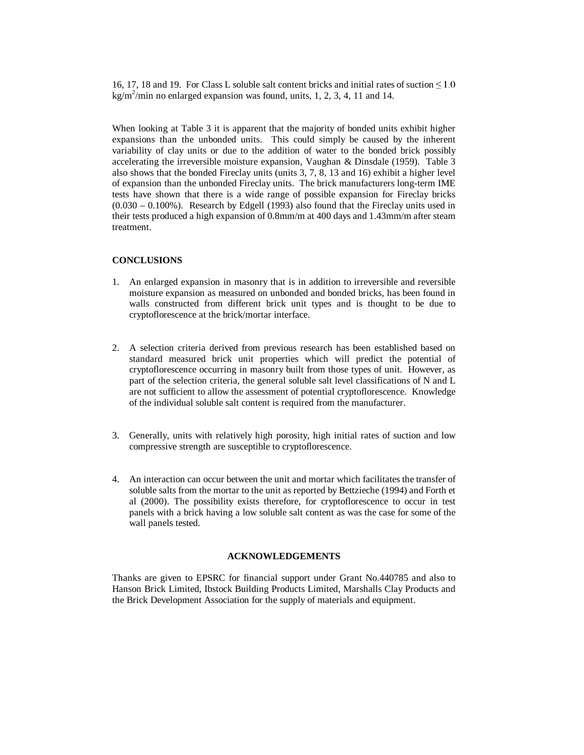16, 17, 18 and 19. For Class L soluble salt content bricks and initial rates of suction  $\leq 1.0$  $\text{kg/m}^2/\text{min}$  no enlarged expansion was found, units, 1, 2, 3, 4, 11 and 14.

When looking at Table 3 it is apparent that the majority of bonded units exhibit higher expansions than the unbonded units. This could simply be caused by the inherent variability of clay units or due to the addition of water to the bonded brick possibly accelerating the irreversible moisture expansion, Vaughan & Dinsdale (1959). Table 3 also shows that the bonded Fireclay units (units 3, 7, 8, 13 and 16) exhibit a higher level of expansion than the unbonded Fireclay units. The brick manufacturers long-term IME tests have shown that there is a wide range of possible expansion for Fireclay bricks (0.030 – 0.100%). Research by Edgell (1993) also found that the Fireclay units used in their tests produced a high expansion of 0.8mm/m at 400 days and 1.43mm/m after steam treatment.

## **CONCLUSIONS**

- 1. An enlarged expansion in masonry that is in addition to irreversible and reversible moisture expansion as measured on unbonded and bonded bricks, has been found in walls constructed from different brick unit types and is thought to be due to cryptoflorescence at the brick/mortar interface.
- 2. A selection criteria derived from previous research has been established based on standard measured brick unit properties which will predict the potential of cryptoflorescence occurring in masonry built from those types of unit. However, as part of the selection criteria, the general soluble salt level classifications of N and L are not sufficient to allow the assessment of potential cryptoflorescence. Knowledge of the individual soluble salt content is required from the manufacturer.
- 3. Generally, units with relatively high porosity, high initial rates of suction and low compressive strength are susceptible to cryptoflorescence.
- 4. An interaction can occur between the unit and mortar which facilitates the transfer of soluble salts from the mortar to the unit as reported by Bettzieche (1994) and Forth et al (2000). The possibility exists therefore, for cryptoflorescence to occur in test panels with a brick having a low soluble salt content as was the case for some of the wall panels tested.

### **ACKNOWLEDGEMENTS**

Thanks are given to EPSRC for financial support under Grant No.440785 and also to Hanson Brick Limited, Ibstock Building Products Limited, Marshalls Clay Products and the Brick Development Association for the supply of materials and equipment.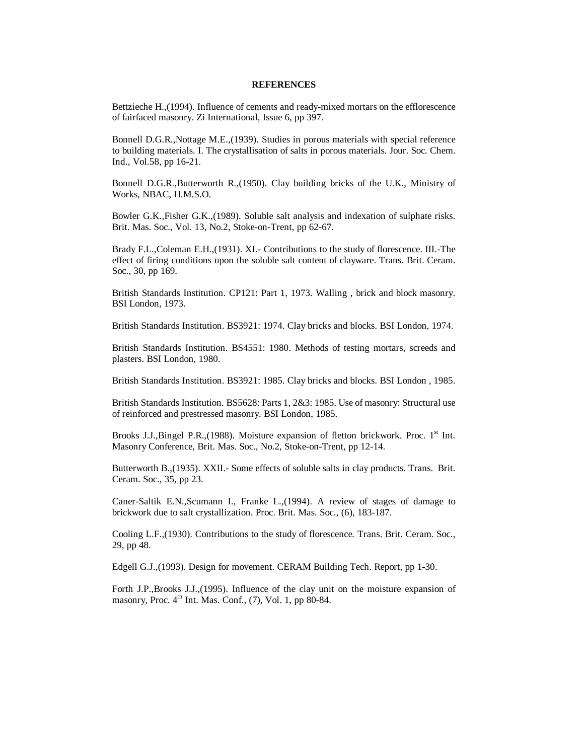## **REFERENCES**

Bettzieche H.,(1994). Influence of cements and ready-mixed mortars on the efflorescence of fairfaced masonry. Zi International, Issue 6, pp 397.

Bonnell D.G.R.,Nottage M.E.,(1939). Studies in porous materials with special reference to building materials. I. The crystallisation of salts in porous materials. Jour. Soc. Chem. Ind., Vol.58, pp 16-21.

Bonnell D.G.R.,Butterworth R.,(1950). Clay building bricks of the U.K., Ministry of Works, NBAC, H.M.S.O.

Bowler G.K.,Fisher G.K.,(1989). Soluble salt analysis and indexation of sulphate risks. Brit. Mas. Soc., Vol. 13, No.2, Stoke-on-Trent, pp 62-67.

Brady F.L.,Coleman E.H.,(1931). XI.- Contributions to the study of florescence. III.-The effect of firing conditions upon the soluble salt content of clayware. Trans. Brit. Ceram. Soc., 30, pp 169.

British Standards Institution. CP121: Part 1, 1973. Walling , brick and block masonry. BSI London, 1973.

British Standards Institution. BS3921: 1974. Clay bricks and blocks. BSI London, 1974.

British Standards Institution. BS4551: 1980. Methods of testing mortars, screeds and plasters. BSI London, 1980.

British Standards Institution. BS3921: 1985. Clay bricks and blocks. BSI London , 1985.

British Standards Institution. BS5628: Parts 1, 2&3: 1985. Use of masonry: Structural use of reinforced and prestressed masonry. BSI London, 1985.

Brooks J.J.,Bingel P.R.,(1988). Moisture expansion of fletton brickwork. Proc.  $1<sup>st</sup>$  Int. Masonry Conference, Brit. Mas. Soc., No.2, Stoke-on-Trent, pp 12-14.

Butterworth B.,(1935). XXII.- Some effects of soluble salts in clay products. Trans. Brit. Ceram. Soc., 35, pp 23.

Caner-Saltik E.N.,Scumann I., Franke L.,(1994). A review of stages of damage to brickwork due to salt crystallization. Proc. Brit. Mas. Soc., (6), 183-187.

Cooling L.F.,(1930). Contributions to the study of florescence*.* Trans. Brit. Ceram. Soc., 29, pp 48.

Edgell G.J.,(1993). Design for movement. CERAM Building Tech. Report, pp 1-30.

Forth J.P.,Brooks J.J.,(1995). Influence of the clay unit on the moisture expansion of masonry, Proc.  $4<sup>th</sup>$  Int. Mas. Conf., (7), Vol. 1, pp 80-84.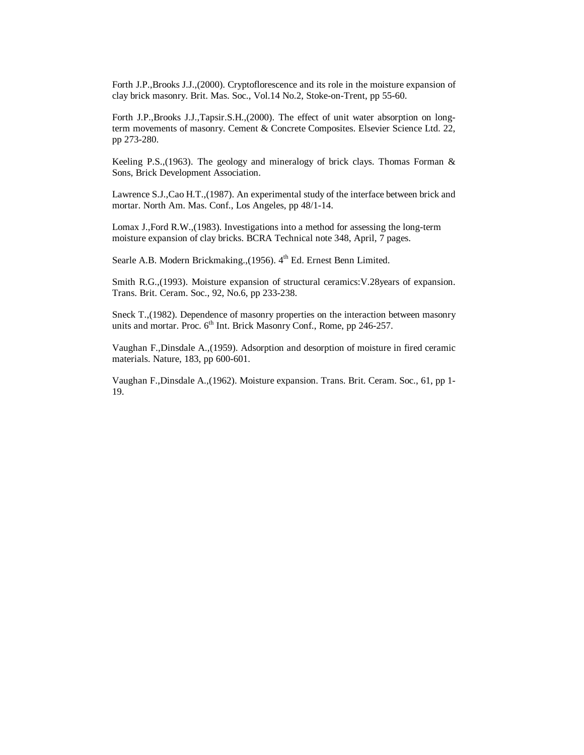Forth J.P.,Brooks J.J.,(2000). Cryptoflorescence and its role in the moisture expansion of clay brick masonry. Brit. Mas. Soc., Vol.14 No.2, Stoke-on-Trent, pp 55-60.

Forth J.P.,Brooks J.J.,Tapsir.S.H.,(2000). The effect of unit water absorption on longterm movements of masonry. Cement & Concrete Composites. Elsevier Science Ltd. 22, pp 273-280.

Keeling P.S.,(1963). The geology and mineralogy of brick clays. Thomas Forman & Sons, Brick Development Association.

Lawrence S.J.,Cao H.T.,(1987). An experimental study of the interface between brick and mortar. North Am. Mas. Conf., Los Angeles, pp 48/1-14.

Lomax J.,Ford R.W.,(1983). Investigations into a method for assessing the long-term moisture expansion of clay bricks. BCRA Technical note 348, April, 7 pages.

Searle A.B. Modern Brickmaking.,(1956). 4<sup>th</sup> Ed. Ernest Benn Limited.

Smith R.G.,(1993). Moisture expansion of structural ceramics:V.28years of expansion. Trans. Brit. Ceram. Soc., 92, No.6, pp 233-238.

Sneck T.,(1982). Dependence of masonry properties on the interaction between masonry units and mortar. Proc. 6<sup>th</sup> Int. Brick Masonry Conf., Rome, pp 246-257.

Vaughan F.,Dinsdale A.,(1959). Adsorption and desorption of moisture in fired ceramic materials. Nature, 183, pp 600-601.

Vaughan F.,Dinsdale A.,(1962). Moisture expansion. Trans. Brit. Ceram. Soc., 61, pp 1- 19.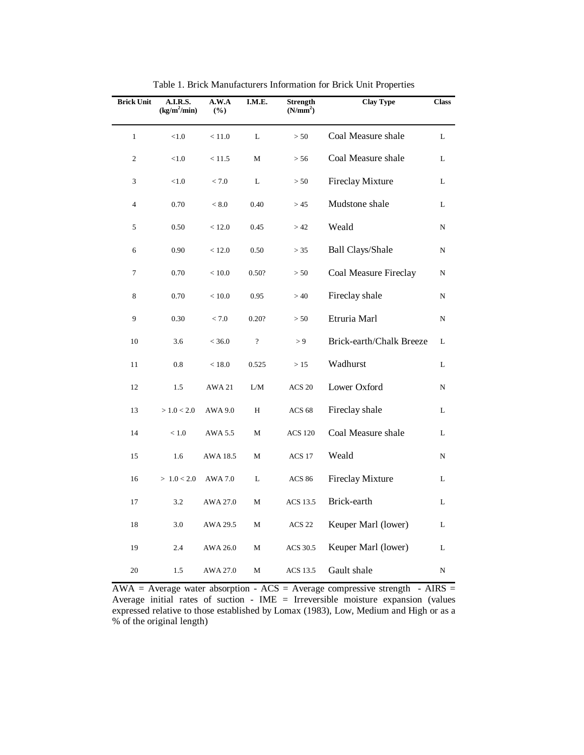| <b>Brick Unit</b> | A.I.R.S.<br>$(kg/m^2/min)$ | A.W.A<br>$(\%)$ | I.M.E.                   | <b>Strength</b><br>(N/mm <sup>2</sup> ) | <b>Clay Type</b>         | <b>Class</b> |
|-------------------|----------------------------|-----------------|--------------------------|-----------------------------------------|--------------------------|--------------|
| $\mathbf{1}$      | < 1.0                      | < 11.0          | L                        | > 50                                    | Coal Measure shale       | L            |
| 2                 | < 1.0                      | < 11.5          | М                        | > 56                                    | Coal Measure shale       | L            |
| 3                 | < 1.0                      | < 7.0           | L                        | > 50                                    | <b>Fireclay Mixture</b>  | L            |
| $\overline{4}$    | 0.70                       | < 8.0           | 0.40                     | > 45                                    | Mudstone shale           | L            |
| 5                 | 0.50                       | < 12.0          | 0.45                     | >42                                     | Weald                    | N            |
| 6                 | 0.90                       | < 12.0          | 0.50                     | > 35                                    | <b>Ball Clays/Shale</b>  | N            |
| 7                 | 0.70                       | < 10.0          | 0.50?                    | > 50                                    | Coal Measure Fireclay    | N            |
| 8                 | 0.70                       | < 10.0          | 0.95                     | >40                                     | Fireclay shale           | N            |
| 9                 | 0.30                       | < 7.0           | 0.20?                    | > 50                                    | Etruria Marl             | N            |
| 10                | 3.6                        | < 36.0          | $\overline{\mathcal{C}}$ | > 9                                     | Brick-earth/Chalk Breeze | L            |
| 11                | 0.8                        | < 18.0          | 0.525                    | >15                                     | Wadhurst                 | L            |
| 12                | 1.5                        | <b>AWA 21</b>   | L/M                      | ACS <sub>20</sub>                       | Lower Oxford             | N            |
| 13                | > 1.0 < 2.0                | AWA 9.0         | H                        | <b>ACS 68</b>                           | Fireclay shale           | L            |
| 14                | < 1.0                      | AWA 5.5         | М                        | <b>ACS 120</b>                          | Coal Measure shale       | L            |
| 15                | 1.6                        | AWA 18.5        | М                        | ACS 17                                  | Weald                    | N            |
| 16                | > 1.0 < 2.0                | AWA 7.0         | L                        | <b>ACS 86</b>                           | <b>Fireclay Mixture</b>  | L            |
| 17                | 3.2                        | AWA 27.0        | M                        | <b>ACS 13.5</b>                         | Brick-earth              | L            |
| 18                | 3.0                        | AWA 29.5        | М                        | ACS <sub>22</sub>                       | Keuper Marl (lower)      | L            |
| 19                | 2.4                        | AWA 26.0        | M                        | ACS 30.5                                | Keuper Marl (lower)      | L            |
| 20                | 1.5                        | AWA 27.0        | M                        | <b>ACS 13.5</b>                         | Gault shale              | N            |

Table 1. Brick Manufacturers Information for Brick Unit Properties

 $AWA = Average water absorption - ACS = Average compressive strength - AIRS =$ Average initial rates of suction - IME = Irreversible moisture expansion (values expressed relative to those established by Lomax (1983), Low, Medium and High or as a % of the original length)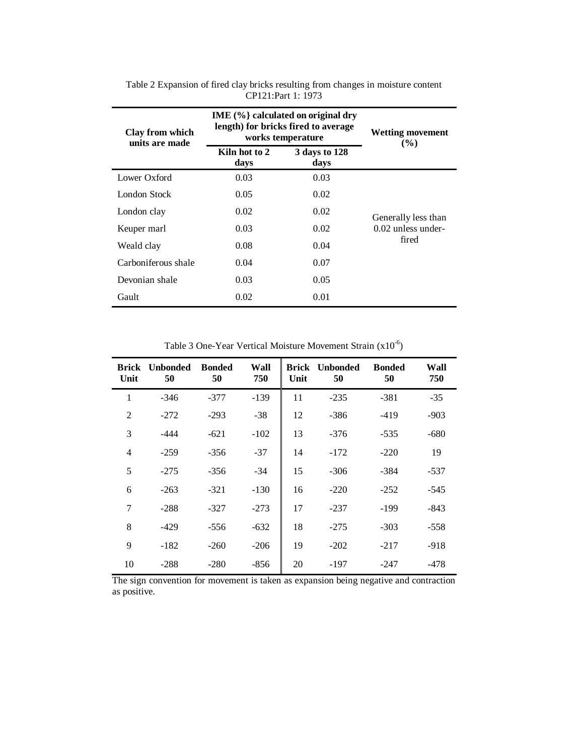| Clay from which<br>units are made | IME $(\%$ calculated on original dry<br>length) for bricks fired to average<br>works temperature | <b>Wetting movement</b><br>$($ %) |                      |
|-----------------------------------|--------------------------------------------------------------------------------------------------|-----------------------------------|----------------------|
|                                   | Kiln hot to 2<br>days                                                                            | 3 days to 128<br>days             |                      |
| Lower Oxford                      | 0.03                                                                                             | 0.03                              |                      |
| London Stock                      | 0.05                                                                                             | 0.02                              |                      |
| London clay                       | 0.02                                                                                             | 0.02                              | Generally less than  |
| Keuper marl                       | 0.03                                                                                             | 0.02                              | $0.02$ unless under- |
| Weald clay                        | 0.08                                                                                             | 0.04                              | fired                |
| Carboniferous shale               | 0.04                                                                                             | 0.07                              |                      |
| Devonian shale                    | 0.03                                                                                             | 0.05                              |                      |
| Gault                             | 0.02                                                                                             | 0.01                              |                      |

Table 2 Expansion of fired clay bricks resulting from changes in moisture content CP121:Part 1: 1973

Table 3 One-Year Vertical Moisture Movement Strain (x10-6)

| <b>Brick</b><br>Unit | <b>Unbonded</b><br>50 | <b>Bonded</b><br>50 | Wall<br>750 | <b>Brick</b><br>Unit | <b>Unbonded</b><br>50 | <b>Bonded</b><br>50 | Wall<br>750 |
|----------------------|-----------------------|---------------------|-------------|----------------------|-----------------------|---------------------|-------------|
| 1                    | $-346$                | $-377$              | $-139$      | 11                   | $-235$                | $-381$              | $-35$       |
| $\overline{2}$       | $-272$                | $-293$              | $-38$       | 12                   | $-386$                | $-419$              | $-903$      |
| 3                    | $-444$                | $-621$              | $-102$      | 13                   | $-376$                | $-535$              | $-680$      |
| $\overline{4}$       | $-259$                | $-356$              | $-37$       | 14                   | $-172$                | $-220$              | 19          |
| 5                    | $-275$                | $-356$              | $-34$       | 15                   | $-306$                | $-384$              | $-537$      |
| 6                    | $-263$                | $-321$              | $-130$      | 16                   | $-220$                | $-252$              | $-545$      |
| 7                    | $-288$                | $-327$              | $-273$      | 17                   | $-237$                | $-199$              | $-843$      |
| 8                    | $-429$                | $-556$              | $-632$      | 18                   | $-275$                | $-303$              | $-558$      |
| 9                    | $-182$                | $-260$              | $-206$      | 19                   | $-202$                | $-217$              | $-918$      |
| 10                   | $-288$                | $-280$              | $-856$      | 20                   | $-197$                | $-247$              | $-478$      |

The sign convention for movement is taken as expansion being negative and contraction as positive.